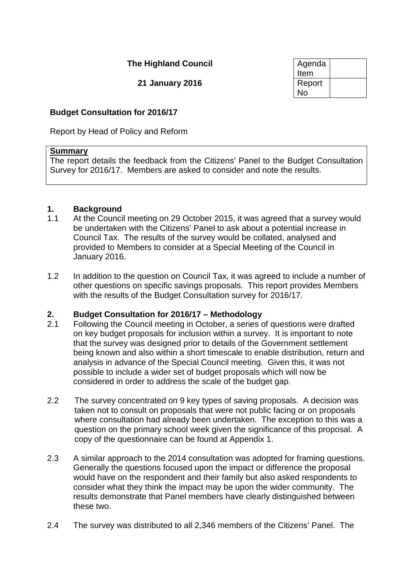# **The Highland Council**

**21 January 2016** 

| Agenda<br>Item | 4       |
|----------------|---------|
| Report<br>No   | HC/2/16 |

#### **Budget Consultation for 2016/17**

Report by Head of Policy and Reform

#### **Summary**

The report details the feedback from the Citizens' Panel to the Budget Consultation Survey for 2016/17. Members are asked to consider and note the results.

# **1. Background**

- At the Council meeting on 29 October 2015, it was agreed that a survey would be undertaken with the Citizens' Panel to ask about a potential increase in Council Tax. The results of the survey would be collated, analysed and provided to Members to consider at a Special Meeting of the Council in January 2016.
- 1.2 In addition to the question on Council Tax, it was agreed to include a number of other questions on specific savings proposals. This report provides Members with the results of the Budget Consultation survey for 2016/17.

# **2. Budget Consultation for 2016/17 – Methodology**

- 2.1 Following the Council meeting in October, a series of questions were drafted on key budget proposals for inclusion within a survey. It is important to note that the survey was designed prior to details of the Government settlement being known and also within a short timescale to enable distribution, return and analysis in advance of the Special Council meeting. Given this, it was not possible to include a wider set of budget proposals which will now be considered in order to address the scale of the budget gap.
- 2.2 The survey concentrated on 9 key types of saving proposals. A decision was taken not to consult on proposals that were not public facing or on proposals where consultation had already been undertaken. The exception to this was a question on the primary school week given the significance of this proposal. A copy of the questionnaire can be found at Appendix 1.
- 2.3 A similar approach to the 2014 consultation was adopted for framing questions. Generally the questions focused upon the impact or difference the proposal would have on the respondent and their family but also asked respondents to consider what they think the impact may be upon the wider community. The results demonstrate that Panel members have clearly distinguished between these two.
- 2.4 The survey was distributed to all 2,346 members of the Citizens' Panel. The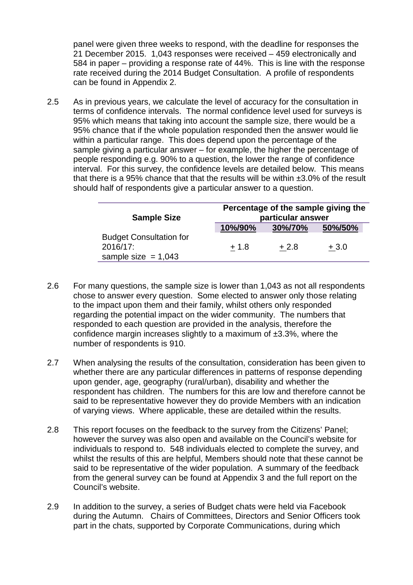panel were given three weeks to respond, with the deadline for responses the 21 December 2015. 1,043 responses were received – 459 electronically and 584 in paper – providing a response rate of 44%. This is line with the response rate received during the 2014 Budget Consultation. A profile of respondents can be found in Appendix 2.

2.5 As in previous years, we calculate the level of accuracy for the consultation in terms of confidence intervals. The normal confidence level used for surveys is 95% which means that taking into account the sample size, there would be a 95% chance that if the whole population responded then the answer would lie within a particular range. This does depend upon the percentage of the sample giving a particular answer – for example, the higher the percentage of people responding e.g. 90% to a question, the lower the range of confidence interval. For this survey, the confidence levels are detailed below. This means that there is a 95% chance that that the results will be within  $\pm 3.0\%$  of the result should half of respondents give a particular answer to a question.

| <b>Sample Size</b>                                                  | Percentage of the sample giving the<br>particular answer |         |         |  |
|---------------------------------------------------------------------|----------------------------------------------------------|---------|---------|--|
|                                                                     | 10%/90%                                                  | 30%/70% | 50%/50% |  |
| <b>Budget Consultation for</b><br>2016/17:<br>sample size $= 1,043$ | $+1.8$                                                   | $+2.8$  | $+3.0$  |  |

- 2.6 For many questions, the sample size is lower than 1,043 as not all respondents chose to answer every question. Some elected to answer only those relating to the impact upon them and their family, whilst others only responded regarding the potential impact on the wider community. The numbers that responded to each question are provided in the analysis, therefore the confidence margin increases slightly to a maximum of ±3.3%, where the number of respondents is 910.
- 2.7 When analysing the results of the consultation, consideration has been given to whether there are any particular differences in patterns of response depending upon gender, age, geography (rural/urban), disability and whether the respondent has children. The numbers for this are low and therefore cannot be said to be representative however they do provide Members with an indication of varying views. Where applicable, these are detailed within the results.
- 2.8 This report focuses on the feedback to the survey from the Citizens' Panel; however the survey was also open and available on the Council's website for individuals to respond to. 548 individuals elected to complete the survey, and whilst the results of this are helpful, Members should note that these cannot be said to be representative of the wider population. A summary of the feedback from the general survey can be found at Appendix 3 and the full report on the Council's website.
- 2.9 In addition to the survey, a series of Budget chats were held via Facebook during the Autumn. Chairs of Committees, Directors and Senior Officers took part in the chats, supported by Corporate Communications, during which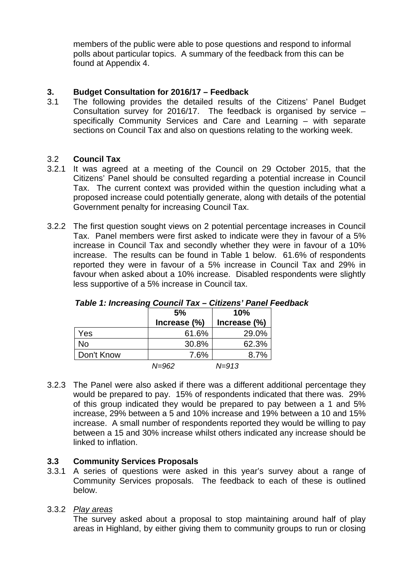members of the public were able to pose questions and respond to informal polls about particular topics. A summary of the feedback from this can be found at Appendix 4.

#### **3. Budget Consultation for 2016/17 – Feedback**

3.1 The following provides the detailed results of the Citizens' Panel Budget Consultation survey for 2016/17. The feedback is organised by service – specifically Community Services and Care and Learning – with separate sections on Council Tax and also on questions relating to the working week.

#### 3.2 **Council Tax**

- 3.2.1 It was agreed at a meeting of the Council on 29 October 2015, that the Citizens' Panel should be consulted regarding a potential increase in Council Tax. The current context was provided within the question including what a proposed increase could potentially generate, along with details of the potential Government penalty for increasing Council Tax.
- 3.2.2 The first question sought views on 2 potential percentage increases in Council Tax. Panel members were first asked to indicate were they in favour of a 5% increase in Council Tax and secondly whether they were in favour of a 10% increase. The results can be found in Table 1 below. 61.6% of respondents reported they were in favour of a 5% increase in Council Tax and 29% in favour when asked about a 10% increase. Disabled respondents were slightly less supportive of a 5% increase in Council tax.

|            | 5%           | 10%          |
|------------|--------------|--------------|
|            | Increase (%) | Increase (%) |
| Yes        | 61.6%        | 29.0%        |
| No         | 30.8%        | 62.3%        |
| Don't Know | 7.6%         | 8.7%         |
|            | N=962        | N=913        |

#### *Table 1: Increasing Council Tax – Citizens' Panel Feedback*

3.2.3 The Panel were also asked if there was a different additional percentage they would be prepared to pay. 15% of respondents indicated that there was. 29% of this group indicated they would be prepared to pay between a 1 and 5% increase, 29% between a 5 and 10% increase and 19% between a 10 and 15% increase. A small number of respondents reported they would be willing to pay between a 15 and 30% increase whilst others indicated any increase should be linked to inflation.

## **3.3 Community Services Proposals**

3.3.1 A series of questions were asked in this year's survey about a range of Community Services proposals. The feedback to each of these is outlined below.

## 3.3.2 *Play areas*

The survey asked about a proposal to stop maintaining around half of play areas in Highland, by either giving them to community groups to run or closing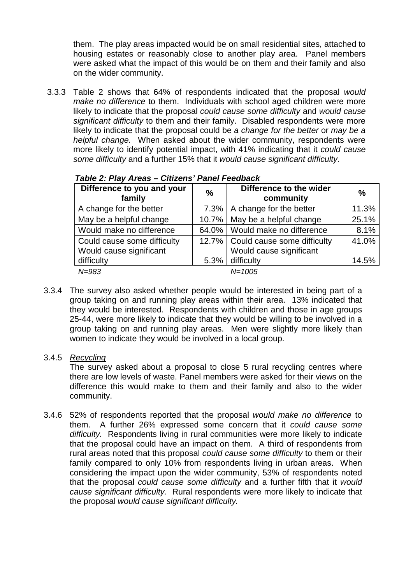them. The play areas impacted would be on small residential sites, attached to housing estates or reasonably close to another play area. Panel members were asked what the impact of this would be on them and their family and also on the wider community.

3.3.3 Table 2 shows that 64% of respondents indicated that the proposal *would make no difference* to them. Individuals with school aged children were more likely to indicate that the proposal *could cause some difficulty* and *would cause significant difficulty* to them and their family. Disabled respondents were more likely to indicate that the proposal could be *a change for the better* or *may be a helpful change.* When asked about the wider community, respondents were more likely to identify potential impact, with 41% indicating that it *could cause some difficulty* and a further 15% that it *would cause significant difficulty.* 

| Difference to you and your<br>family | $\frac{0}{0}$ | Difference to the wider<br>community | $\frac{0}{0}$ |
|--------------------------------------|---------------|--------------------------------------|---------------|
| A change for the better              |               | 7.3%   A change for the better       | 11.3%         |
| May be a helpful change              |               | 10.7%   May be a helpful change      | 25.1%         |
| Would make no difference             |               | 64.0%   Would make no difference     | 8.1%          |
| Could cause some difficulty          |               | 12.7%   Could cause some difficulty  | 41.0%         |
| Would cause significant              |               | Would cause significant              |               |
| difficulty                           | 5.3%          | difficulty                           | 14.5%         |
| $N = 983$                            |               | $N = 1005$                           |               |

*Table 2: Play Areas – Citizens' Panel Feedback*

- 3.3.4 The survey also asked whether people would be interested in being part of a group taking on and running play areas within their area. 13% indicated that they would be interested. Respondents with children and those in age groups 25-44, were more likely to indicate that they would be willing to be involved in a group taking on and running play areas. Men were slightly more likely than women to indicate they would be involved in a local group.
	- 3.4.5 *Recycling*

The survey asked about a proposal to close 5 rural recycling centres where there are low levels of waste. Panel members were asked for their views on the difference this would make to them and their family and also to the wider community.

3.4.6 52% of respondents reported that the proposal *would make no difference* to them. A further 26% expressed some concern that it *could cause some difficulty.* Respondents living in rural communities were more likely to indicate that the proposal could have an impact on them. A third of respondents from rural areas noted that this proposal *could cause some difficulty* to them or their family compared to only 10% from respondents living in urban areas. When considering the impact upon the wider community, 53% of respondents noted that the proposal *could cause some difficulty* and a further fifth that it *would cause significant difficulty.* Rural respondents were more likely to indicate that the proposal *would cause significant difficulty.*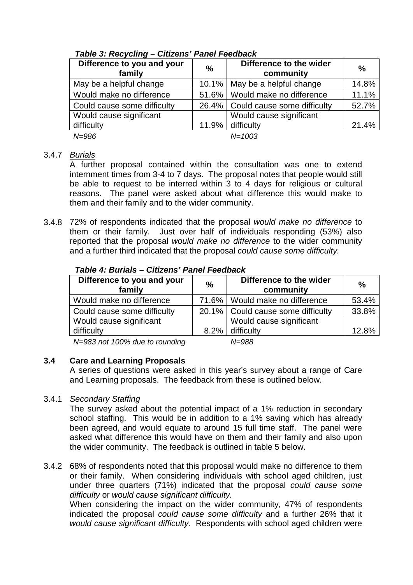| Difference to you and your<br>family | $\frac{0}{0}$ | Difference to the wider<br>community | $\frac{0}{0}$ |
|--------------------------------------|---------------|--------------------------------------|---------------|
| May be a helpful change              |               | 10.1%   May be a helpful change      | 14.8%         |
| Would make no difference             |               | 51.6%   Would make no difference     | 11.1%         |
| Could cause some difficulty          |               | 26.4%   Could cause some difficulty  | 52.7%         |
| Would cause significant              |               | Would cause significant              |               |
| difficulty                           | $11.9\%$      | difficulty                           | 21.4%         |
| $N = 986$                            |               | $N = 1003$                           |               |

# *Table 3: Recycling – Citizens' Panel Feedback*

#### 3.4.7 *Burials*

A further proposal contained within the consultation was one to extend internment times from 3-4 to 7 days. The proposal notes that people would still be able to request to be interred within 3 to 4 days for religious or cultural reasons. The panel were asked about what difference this would make to them and their family and to the wider community.

3.4.8 72% of respondents indicated that the proposal *would make no difference* to them or their family. Just over half of individuals responding (53%) also reported that the proposal *would make no difference* to the wider community and a further third indicated that the proposal *could cause some difficulty.* 

| Difference to you and your<br>family | $\frac{0}{0}$ | Difference to the wider<br>community | $\frac{0}{0}$ |
|--------------------------------------|---------------|--------------------------------------|---------------|
| Would make no difference             |               | 71.6%   Would make no difference     | 53.4%         |
| Could cause some difficulty          |               | 20.1%   Could cause some difficulty  | 33.8%         |
| Would cause significant              |               | Would cause significant              |               |
| difficulty                           | 8.2%          | difficulty                           | 12.8%         |

#### *Table 4: Burials – Citizens' Panel Feedback*

*N=983 not 100% due to rounding N=988*

## **3.4 Care and Learning Proposals**

A series of questions were asked in this year's survey about a range of Care and Learning proposals. The feedback from these is outlined below.

#### 3.4.1 *Secondary Staffing*

The survey asked about the potential impact of a 1% reduction in secondary school staffing. This would be in addition to a 1% saving which has already been agreed, and would equate to around 15 full time staff. The panel were asked what difference this would have on them and their family and also upon the wider community. The feedback is outlined in table 5 below.

3.4.2 68% of respondents noted that this proposal would make no difference to them or their family. When considering individuals with school aged children, just under three quarters (71%) indicated that the proposal *could cause some difficulty* or *would cause significant difficulty.*

When considering the impact on the wider community, 47% of respondents indicated the proposal *could cause some difficulty* and a further 26% that it *would cause significant difficulty.* Respondents with school aged children were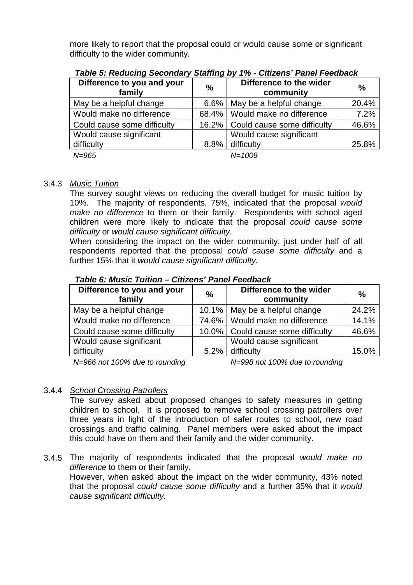more likely to report that the proposal could or would cause some or significant difficulty to the wider community.

| Difference to you and your<br>family | $\frac{0}{0}$ | Difference to the wider<br>community | $\%$  |
|--------------------------------------|---------------|--------------------------------------|-------|
| May be a helpful change              | $6.6\%$       | May be a helpful change              | 20.4% |
| Would make no difference             |               | 68.4%   Would make no difference     | 7.2%  |
| Could cause some difficulty          |               | 16.2%   Could cause some difficulty  | 46.6% |
| Would cause significant              |               | Would cause significant              |       |
| difficulty                           | 8.8%          | difficulty                           | 25.8% |
| $N = 965$                            |               | $N = 1009$                           |       |

*Table 5: Reducing Secondary Staffing by 1% - Citizens' Panel Feedback*

#### 3.4.3 *Music Tuition*

The survey sought views on reducing the overall budget for music tuition by 10%. The majority of respondents, 75%, indicated that the proposal *would make no difference* to them or their family. Respondents with school aged children were more likely to indicate that the proposal *could cause some difficulty* or *would cause significant difficulty.*

When considering the impact on the wider community, just under half of all respondents reported that the proposal *could cause some difficulty* and a further 15% that it *would cause significant difficulty.*

#### *Table 6: Music Tuition – Citizens' Panel Feedback*

| Difference to you and your<br>family | $\frac{0}{0}$ | Difference to the wider<br>community | $\%$  |
|--------------------------------------|---------------|--------------------------------------|-------|
| May be a helpful change              |               | 10.1%   May be a helpful change      | 24.2% |
| Would make no difference             |               | 74.6%   Would make no difference     | 14.1% |
| Could cause some difficulty          |               | 10.0%   Could cause some difficulty  | 46.6% |
| Would cause significant              |               | Would cause significant              |       |
| difficulty                           | 5.2%          | difficulty                           | 15.0% |
|                                      |               |                                      |       |

*N=966 not 100% due to rounding N=998 not 100% due to rounding*

## 3.4.4 *School Crossing Patrollers*

The survey asked about proposed changes to safety measures in getting children to school. It is proposed to remove school crossing patrollers over three years in light of the introduction of safer routes to school, new road crossings and traffic calming. Panel members were asked about the impact this could have on them and their family and the wider community.

3.4.5 The majority of respondents indicated that the proposal *would make no difference* to them or their family.

However, when asked about the impact on the wider community, 43% noted that the proposal *could cause some difficulty* and a further 35% that it *would cause significant difficulty.*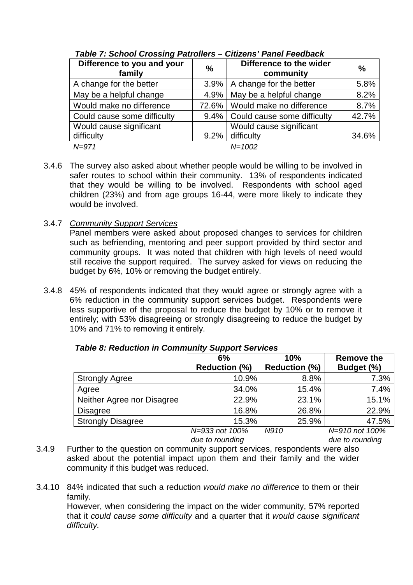| Difference to you and your<br>family | $\frac{0}{0}$ | Difference to the wider<br>community | $\frac{0}{0}$ |
|--------------------------------------|---------------|--------------------------------------|---------------|
| A change for the better              | $3.9\%$       | A change for the better              | 5.8%          |
| May be a helpful change              | 4.9%          | May be a helpful change              | 8.2%          |
| Would make no difference             |               | 72.6%   Would make no difference     | 8.7%          |
| Could cause some difficulty          | $9.4\%$       | Could cause some difficulty          | 42.7%         |
| Would cause significant              |               | Would cause significant              |               |
| difficulty                           | 9.2%          | difficulty                           | 34.6%         |
| $N = 971$                            |               | $N = 1002$                           |               |

*Table 7: School Crossing Patrollers – Citizens' Panel Feedback*

- 3.4.6 The survey also asked about whether people would be willing to be involved in safer routes to school within their community. 13% of respondents indicated that they would be willing to be involved. Respondents with school aged children (23%) and from age groups 16-44, were more likely to indicate they would be involved.
- 3.4.7 *Community Support Services*

Panel members were asked about proposed changes to services for children such as befriending, mentoring and peer support provided by third sector and community groups. It was noted that children with high levels of need would still receive the support required. The survey asked for views on reducing the budget by 6%, 10% or removing the budget entirely.

3.4.8 45% of respondents indicated that they would agree or strongly agree with a 6% reduction in the community support services budget. Respondents were less supportive of the proposal to reduce the budget by 10% or to remove it entirely; with 53% disagreeing or strongly disagreeing to reduce the budget by 10% and 71% to removing it entirely.

|                            | 6%                   | 10%                  | <b>Remove the</b> |
|----------------------------|----------------------|----------------------|-------------------|
|                            | <b>Reduction (%)</b> | <b>Reduction (%)</b> | Budget (%)        |
| <b>Strongly Agree</b>      | 10.9%                | 8.8%                 | 7.3%              |
| Agree                      | 34.0%                | 15.4%                | 7.4%              |
| Neither Agree nor Disagree | 22.9%                | 23.1%                | 15.1%             |
| <b>Disagree</b>            | 16.8%                | 26.8%                | 22.9%             |
| <b>Strongly Disagree</b>   | 15.3%                | 25.9%                | 47.5%             |
|                            | N=933 not 100%       | N910                 | N=910 not 100%    |

*Table 8: Reduction in Community Support Services*

*due to rounding*

*due to rounding*

- 3.4.9 Further to the question on community support services, respondents were also asked about the potential impact upon them and their family and the wider community if this budget was reduced.
- 3.4.10 84% indicated that such a reduction *would make no difference* to them or their family.

However, when considering the impact on the wider community, 57% reported that it *could cause some difficulty* and a quarter that it *would cause significant difficulty.*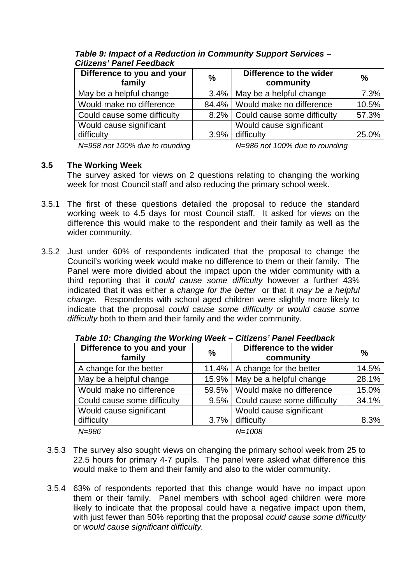| Difference to you and your<br>family | $\frac{0}{0}$ | Difference to the wider<br>community | $\%$  |
|--------------------------------------|---------------|--------------------------------------|-------|
| May be a helpful change              |               | 3.4%   May be a helpful change       | 7.3%  |
| Would make no difference             |               | 84.4%   Would make no difference     | 10.5% |
| Could cause some difficulty          |               | 8.2%   Could cause some difficulty   | 57.3% |
| Would cause significant              |               | Would cause significant              |       |
| difficulty                           | $3.9\%$       | difficulty                           | 25.0% |
|                                      |               | $\cdots$                             |       |

*Table 9: Impact of a Reduction in Community Support Services – Citizens' Panel Feedback*

*N=958 not 100% due to rounding N=986 not 100% due to rounding*

#### **3.5 The Working Week**

The survey asked for views on 2 questions relating to changing the working week for most Council staff and also reducing the primary school week.

- 3.5.1 The first of these questions detailed the proposal to reduce the standard working week to 4.5 days for most Council staff. It asked for views on the difference this would make to the respondent and their family as well as the wider community.
- 3.5.2 Just under 60% of respondents indicated that the proposal to change the Council's working week would make no difference to them or their family. The Panel were more divided about the impact upon the wider community with a third reporting that it *could cause some difficulty* however a further 43% indicated that it was either a *change for the better* or that it *may be a helpful change.* Respondents with school aged children were slightly more likely to indicate that the proposal *could cause some difficulty* or *would cause some difficulty* both to them and their family and the wider community.

| Difference to you and your<br>family | $\%$     | Difference to the wider<br>community | $\frac{0}{0}$ |
|--------------------------------------|----------|--------------------------------------|---------------|
| A change for the better              |          | 11.4%   A change for the better      | 14.5%         |
| May be a helpful change              | $15.9\%$ | May be a helpful change              | 28.1%         |
| Would make no difference             |          | 59.5%   Would make no difference     | 15.0%         |
| Could cause some difficulty          |          | 9.5%   Could cause some difficulty   | 34.1%         |
| Would cause significant              |          | Would cause significant              |               |
| difficulty                           | 3.7%     | difficulty                           | 8.3%          |
| $N = 986$                            |          | $N = 1008$                           |               |

*Table 10: Changing the Working Week – Citizens' Panel Feedback*

- 3.5.3 The survey also sought views on changing the primary school week from 25 to 22.5 hours for primary 4-7 pupils. The panel were asked what difference this would make to them and their family and also to the wider community.
- 3.5.4 63% of respondents reported that this change would have no impact upon them or their family. Panel members with school aged children were more likely to indicate that the proposal could have a negative impact upon them, with just fewer than 50% reporting that the proposal *could cause some difficulty*  or *would cause significant difficulty.*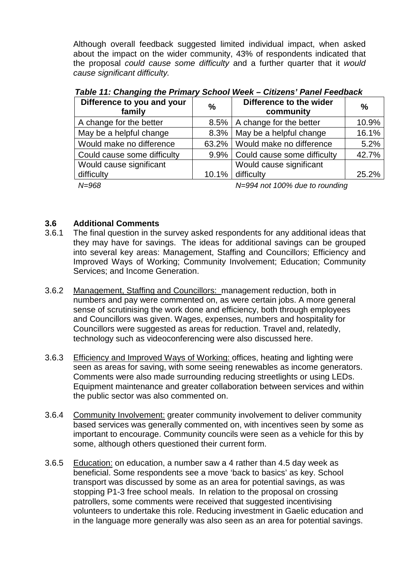Although overall feedback suggested limited individual impact, when asked about the impact on the wider community, 43% of respondents indicated that the proposal *could cause some difficulty* and a further quarter that it *would cause significant difficulty.*

| Table TT. Guanging the Frimary School Week – Guizens Fanel Feedback |         |                                      |               |
|---------------------------------------------------------------------|---------|--------------------------------------|---------------|
| Difference to you and your<br>family                                | $\%$    | Difference to the wider<br>community | $\frac{0}{0}$ |
| A change for the better                                             | 8.5%    | A change for the better              | 10.9%         |
| May be a helpful change                                             | $8.3\%$ | May be a helpful change              | 16.1%         |
| Would make no difference                                            |         | 63.2%   Would make no difference     | 5.2%          |
| Could cause some difficulty                                         |         | 9.9%   Could cause some difficulty   | 42.7%         |
| Would cause significant                                             |         | Would cause significant              |               |
| difficulty                                                          | 10.1%   | difficulty                           | 25.2%         |
| NLOCO                                                               |         | $MLOOA$ pot 100% due to rounding     |               |

*Table 11: Changing the Primary School Week – Citizens' Panel Feedback*

*N=968 N=994 not 100% due to rounding*

# **3.6 Additional Comments**

- 3.6.1 The final question in the survey asked respondents for any additional ideas that they may have for savings. The ideas for additional savings can be grouped into several key areas: Management, Staffing and Councillors; Efficiency and Improved Ways of Working; Community Involvement; Education; Community Services; and Income Generation.
- 3.6.2 Management, Staffing and Councillors: management reduction, both in numbers and pay were commented on, as were certain jobs. A more general sense of scrutinising the work done and efficiency, both through employees and Councillors was given. Wages, expenses, numbers and hospitality for Councillors were suggested as areas for reduction. Travel and, relatedly, technology such as videoconferencing were also discussed here.
- 3.6.3 Efficiency and Improved Ways of Working: offices, heating and lighting were seen as areas for saving, with some seeing renewables as income generators. Comments were also made surrounding reducing streetlights or using LEDs. Equipment maintenance and greater collaboration between services and within the public sector was also commented on.
- 3.6.4 Community Involvement: greater community involvement to deliver community based services was generally commented on, with incentives seen by some as important to encourage. Community councils were seen as a vehicle for this by some, although others questioned their current form.
- 3.6.5 Education: on education, a number saw a 4 rather than 4.5 day week as beneficial. Some respondents see a move 'back to basics' as key. School transport was discussed by some as an area for potential savings, as was stopping P1-3 free school meals. In relation to the proposal on crossing patrollers, some comments were received that suggested incentivising volunteers to undertake this role. Reducing investment in Gaelic education and in the language more generally was also seen as an area for potential savings.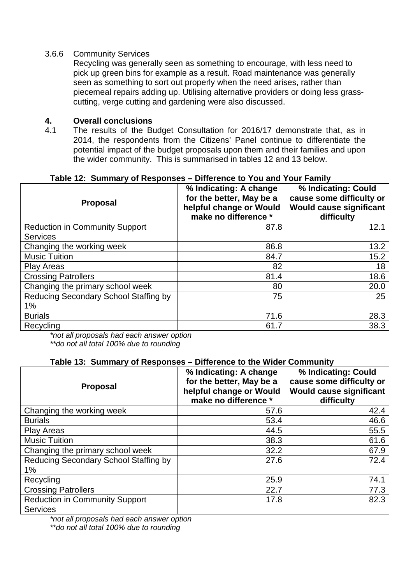#### 3.6.6 Community Services

Recycling was generally seen as something to encourage, with less need to pick up green bins for example as a result. Road maintenance was generally seen as something to sort out properly when the need arises, rather than piecemeal repairs adding up. Utilising alternative providers or doing less grasscutting, verge cutting and gardening were also discussed.

#### **4. Overall conclusions**

4.1 The results of the Budget Consultation for 2016/17 demonstrate that, as in 2014, the respondents from the Citizens' Panel continue to differentiate the potential impact of the budget proposals upon them and their families and upon the wider community. This is summarised in tables 12 and 13 below.

| <b>Proposal</b>                             | % Indicating: A change<br>for the better, May be a<br>helpful change or Would<br>make no difference * | % Indicating: Could<br>cause some difficulty or<br><b>Would cause significant</b><br>difficulty |
|---------------------------------------------|-------------------------------------------------------------------------------------------------------|-------------------------------------------------------------------------------------------------|
| <b>Reduction in Community Support</b>       | 87.8                                                                                                  | 12.1                                                                                            |
| <b>Services</b>                             |                                                                                                       |                                                                                                 |
| Changing the working week                   | 86.8                                                                                                  | 13.2                                                                                            |
| <b>Music Tuition</b>                        | 84.7                                                                                                  | 15.2                                                                                            |
| <b>Play Areas</b>                           | 82                                                                                                    | 18                                                                                              |
| <b>Crossing Patrollers</b>                  | 81.4                                                                                                  | 18.6                                                                                            |
| Changing the primary school week            | 80                                                                                                    | 20.0                                                                                            |
| Reducing Secondary School Staffing by<br>1% | 75                                                                                                    | 25                                                                                              |
| <b>Burials</b>                              | 71.6                                                                                                  | 28.3                                                                                            |
| Recycling                                   | 61.7                                                                                                  | 38.3                                                                                            |

#### **Table 12: Summary of Responses – Difference to You and Your Family**

*\*not all proposals had each answer option \*\*do not all total 100% due to rounding*

#### **Table 13: Summary of Responses – Difference to the Wider Community**

| <b>Proposal</b>                                          | % Indicating: A change<br>for the better, May be a<br>helpful change or Would<br>make no difference * | % Indicating: Could<br>cause some difficulty or<br><b>Would cause significant</b><br>difficulty |
|----------------------------------------------------------|-------------------------------------------------------------------------------------------------------|-------------------------------------------------------------------------------------------------|
| Changing the working week                                | 57.6                                                                                                  | 42.4                                                                                            |
| <b>Burials</b>                                           | 53.4                                                                                                  | 46.6                                                                                            |
| <b>Play Areas</b>                                        | 44.5                                                                                                  | 55.5                                                                                            |
| <b>Music Tuition</b>                                     | 38.3                                                                                                  | 61.6                                                                                            |
| Changing the primary school week                         | 32.2                                                                                                  | 67.9                                                                                            |
| Reducing Secondary School Staffing by                    | 27.6                                                                                                  | 72.4                                                                                            |
| 1%                                                       |                                                                                                       |                                                                                                 |
| Recycling                                                | 25.9                                                                                                  | 74.1                                                                                            |
| <b>Crossing Patrollers</b>                               | 22.7                                                                                                  | 77.3                                                                                            |
| <b>Reduction in Community Support</b><br><b>Services</b> | 17.8                                                                                                  | 82.3                                                                                            |

*\*not all proposals had each answer option \*\*do not all total 100% due to rounding*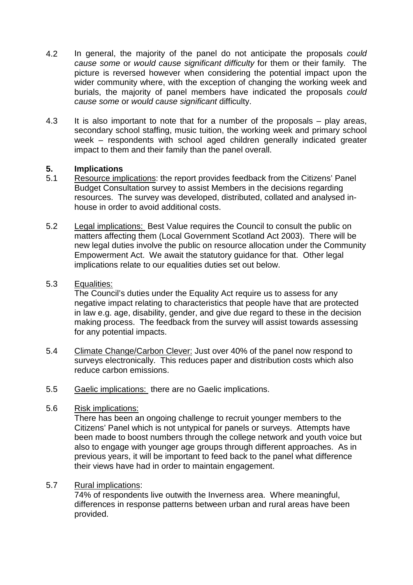- 4.2 In general, the majority of the panel do not anticipate the proposals *could cause some* or *would cause significant difficulty* for them or their family*.* The picture is reversed however when considering the potential impact upon the wider community where, with the exception of changing the working week and burials, the majority of panel members have indicated the proposals *could cause some* or *would cause significant* difficulty.
- 4.3 It is also important to note that for a number of the proposals play areas, secondary school staffing, music tuition, the working week and primary school week – respondents with school aged children generally indicated greater impact to them and their family than the panel overall.

#### **5. Implications**

- 5.1 Resource implications: the report provides feedback from the Citizens' Panel Budget Consultation survey to assist Members in the decisions regarding resources. The survey was developed, distributed, collated and analysed inhouse in order to avoid additional costs.
- 5.2 Legal implications: Best Value requires the Council to consult the public on matters affecting them (Local Government Scotland Act 2003). There will be new legal duties involve the public on resource allocation under the Community Empowerment Act. We await the statutory guidance for that. Other legal implications relate to our equalities duties set out below.

#### 5.3 Equalities:

The Council's duties under the Equality Act require us to assess for any negative impact relating to characteristics that people have that are protected in law e.g. age, disability, gender, and give due regard to these in the decision making process. The feedback from the survey will assist towards assessing for any potential impacts.

- 5.4 Climate Change/Carbon Clever: Just over 40% of the panel now respond to surveys electronically. This reduces paper and distribution costs which also reduce carbon emissions.
- 5.5 Gaelic implications: there are no Gaelic implications.

#### 5.6 Risk implications:

There has been an ongoing challenge to recruit younger members to the Citizens' Panel which is not untypical for panels or surveys. Attempts have been made to boost numbers through the college network and youth voice but also to engage with younger age groups through different approaches. As in previous years, it will be important to feed back to the panel what difference their views have had in order to maintain engagement.

#### 5.7 Rural implications:

74% of respondents live outwith the Inverness area. Where meaningful, differences in response patterns between urban and rural areas have been provided.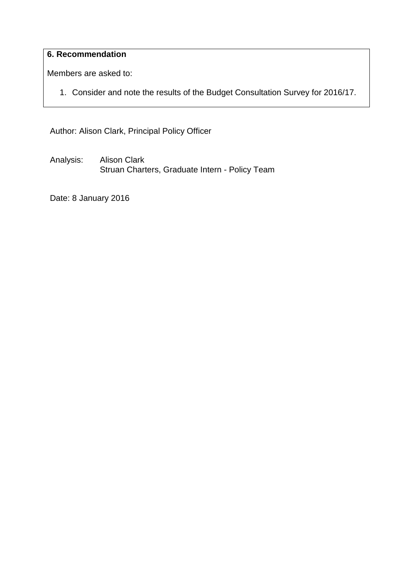# **6. Recommendation**

Members are asked to:

1. Consider and note the results of the Budget Consultation Survey for 2016/17.

Author: Alison Clark, Principal Policy Officer

Analysis: Alison Clark Struan Charters, Graduate Intern - Policy Team

Date: 8 January 2016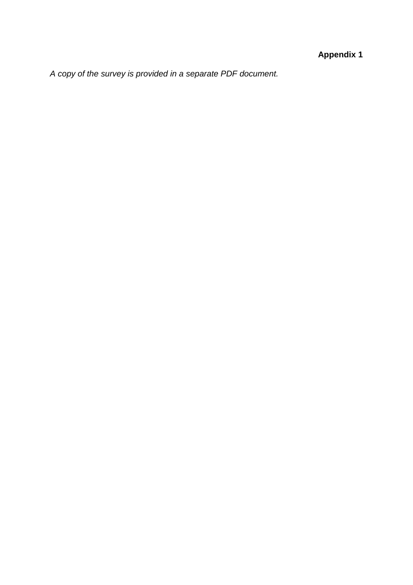# **Appendix 1**

*A copy of the survey is provided in a separate PDF document.*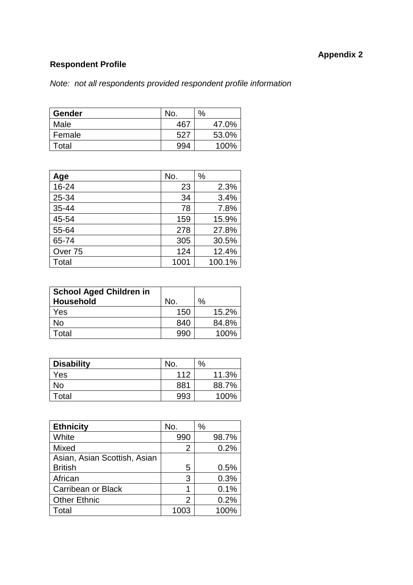# **Appendix 2**

# **Respondent Profile**

# *Note: not all respondents provided respondent profile information*

| <b>Gender</b> | No.   | % |       |
|---------------|-------|---|-------|
| Male          | $46-$ |   | 47.0% |
| Female        | 527   |   | 53.0% |
| Total         | 994   |   | 100%  |

| Age                | No.  | $\%$   |
|--------------------|------|--------|
| 16-24              | 23   | 2.3%   |
| 25-34              | 34   | 3.4%   |
| $35 - 44$          | 78   | 7.8%   |
| 45-54              | 159  | 15.9%  |
| 55-64              | 278  | 27.8%  |
| 65-74              | 305  | 30.5%  |
| Over <sub>75</sub> | 124  | 12.4%  |
| Total              | 1001 | 100.1% |

| <b>School Aged Children in</b><br><b>Household</b> | No. | $\%$ |       |
|----------------------------------------------------|-----|------|-------|
| Yes                                                | 150 |      | 15.2% |
| No                                                 | 840 |      | 84.8% |
| Гotal                                              |     |      | 100%  |

| <b>Disability</b> | No. | % |       |
|-------------------|-----|---|-------|
| Yes               | 112 |   | 11.3% |
| No                | 881 |   | 88.7% |
| Total             | 993 |   | 100%  |

| <b>Ethnicity</b>             | No.  | $\%$  |
|------------------------------|------|-------|
| White                        | 990  | 98.7% |
| Mixed                        | 2    | 0.2%  |
| Asian, Asian Scottish, Asian |      |       |
| <b>British</b>               | 5    | 0.5%  |
| African                      | 3    | 0.3%  |
| Carribean or Black           |      | 0.1%  |
| <b>Other Ethnic</b>          | 2    | 0.2%  |
| Total                        | 1003 | 100%  |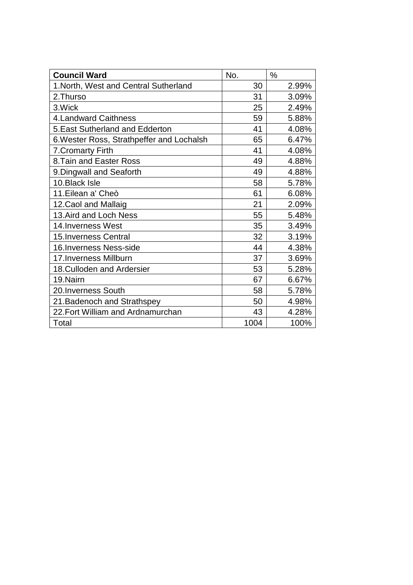| <b>Council Ward</b>                       | No.  | $\frac{0}{0}$ |
|-------------------------------------------|------|---------------|
| 1. North, West and Central Sutherland     | 30   | 2.99%         |
| 2. Thurso                                 | 31   | 3.09%         |
| 3.Wick                                    | 25   | 2.49%         |
| <b>4. Landward Caithness</b>              | 59   | 5.88%         |
| 5. East Sutherland and Edderton           | 41   | 4.08%         |
| 6. Wester Ross, Strathpeffer and Lochalsh | 65   | 6.47%         |
| <b>7. Cromarty Firth</b>                  | 41   | 4.08%         |
| 8. Tain and Easter Ross                   | 49   | 4.88%         |
| 9. Dingwall and Seaforth                  | 49   | 4.88%         |
| 10. Black Isle                            | 58   | 5.78%         |
| 11. Eilean a' Cheò                        | 61   | 6.08%         |
| 12. Caol and Mallaig                      | 21   | 2.09%         |
| 13. Aird and Loch Ness                    | 55   | 5.48%         |
| 14. Inverness West                        | 35   | 3.49%         |
| <b>15. Inverness Central</b>              | 32   | 3.19%         |
| 16. Inverness Ness-side                   | 44   | 4.38%         |
| 17. Inverness Millburn                    | 37   | 3.69%         |
| 18. Culloden and Ardersier                | 53   | 5.28%         |
| 19.Nairn                                  | 67   | 6.67%         |
| 20. Inverness South                       | 58   | 5.78%         |
| 21. Badenoch and Strathspey               | 50   | 4.98%         |
| 22. Fort William and Ardnamurchan         | 43   | 4.28%         |
| Total                                     | 1004 | 100%          |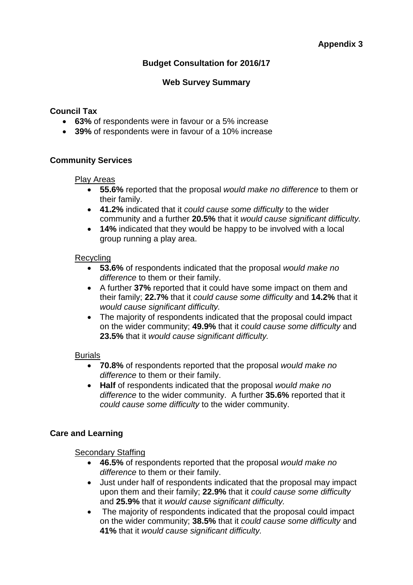# **Budget Consultation for 2016/17**

#### **Web Survey Summary**

#### **Council Tax**

- **63%** of respondents were in favour or a 5% increase
- **39%** of respondents were in favour of a 10% increase

#### **Community Services**

#### Play Areas

- **55.6%** reported that the proposal *would make no difference* to them or their family.
- **41.2%** indicated that it *could cause some difficulty* to the wider community and a further **20.5%** that it *would cause significant difficulty.*
- **14%** indicated that they would be happy to be involved with a local group running a play area.

#### Recycling

- **53.6%** of respondents indicated that the proposal *would make no difference* to them or their family.
- A further **37%** reported that it could have some impact on them and their family; **22.7%** that it *could cause some difficulty* and **14.2%** that it *would cause significant difficulty.*
- The majority of respondents indicated that the proposal could impact on the wider community; **49.9%** that it *could cause some difficulty* and **23.5%** that it *would cause significant difficulty.*

#### Burials

- **70.8%** of respondents reported that the proposal *would make no difference* to them or their family.
- **Half** of respondents indicated that the proposal *would make no difference* to the wider community. A further **35.6%** reported that it *could cause some difficulty* to the wider community.

#### **Care and Learning**

#### Secondary Staffing

- **46.5%** of respondents reported that the proposal *would make no difference* to them or their family.
- Just under half of respondents indicated that the proposal may impact upon them and their family; **22.9%** that it *could cause some difficulty*  and **25.9%** that it *would cause significant difficulty.*
- The majority of respondents indicated that the proposal could impact on the wider community; **38.5%** that it *could cause some difficulty* and **41%** that it *would cause significant difficulty.*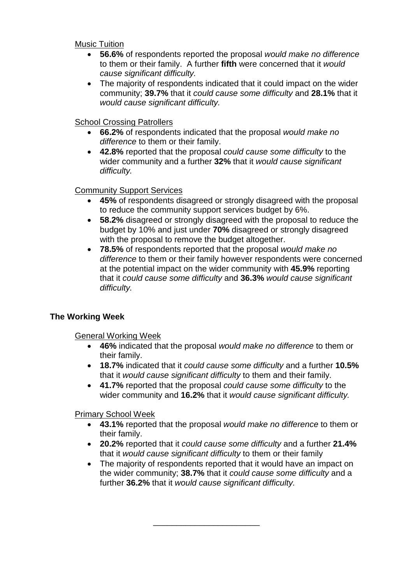Music Tuition

- **56.6%** of respondents reported the proposal *would make no difference*  to them or their family. A further **fifth** were concerned that it *would cause significant difficulty.*
- The majority of respondents indicated that it could impact on the wider community; **39.7%** that it *could cause some difficulty* and **28.1%** that it *would cause significant difficulty.*

School Crossing Patrollers

- **66.2%** of respondents indicated that the proposal *would make no difference* to them or their family.
- **42.8%** reported that the proposal *could cause some difficulty* to the wider community and a further **32%** that it *would cause significant difficulty.*

#### Community Support Services

- **45%** of respondents disagreed or strongly disagreed with the proposal to reduce the community support services budget by 6%.
- **58.2%** disagreed or strongly disagreed with the proposal to reduce the budget by 10% and just under **70%** disagreed or strongly disagreed with the proposal to remove the budget altogether.
- **78.5%** of respondents reported that the proposal *would make no difference* to them or their family however respondents were concerned at the potential impact on the wider community with **45.9%** reporting that it *could cause some difficulty* and **36.3%** *would cause significant difficulty.*

## **The Working Week**

General Working Week

- **46%** indicated that the proposal *would make no difference* to them or their family.
- **18.7%** indicated that it *could cause some difficulty* and a further **10.5%** that it *would cause significant difficulty* to them and their family.
- **41.7%** reported that the proposal *could cause some difficulty* to the wider community and **16.2%** that it *would cause significant difficulty.*

Primary School Week

- **43.1%** reported that the proposal *would make no difference* to them or their family.
- **20.2%** reported that it *could cause some difficulty* and a further **21.4%** that it *would cause significant difficulty* to them or their family
- The majority of respondents reported that it would have an impact on the wider community; **38.7%** that it *could cause some difficulty* and a further **36.2%** that it *would cause significant difficulty.*

\_\_\_\_\_\_\_\_\_\_\_\_\_\_\_\_\_\_\_\_\_\_\_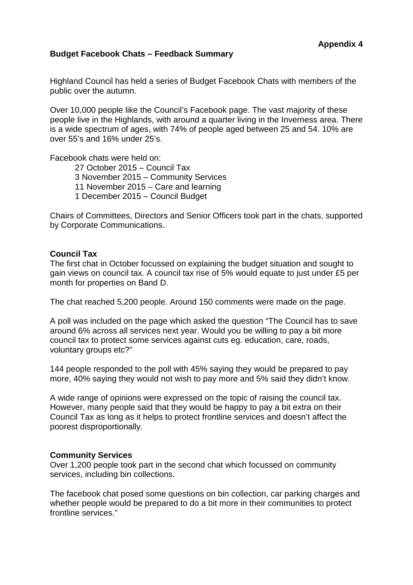#### **Budget Facebook Chats – Feedback Summary**

Highland Council has held a series of Budget Facebook Chats with members of the public over the autumn.

Over 10,000 people like the Council's Facebook page. The vast majority of these people live in the Highlands, with around a quarter living in the Inverness area. There is a wide spectrum of ages, with 74% of people aged between 25 and 54. 10% are over 55's and 16% under 25's.

Facebook chats were held on:

27 October 2015 – Council Tax 3 November 2015 – Community Services 11 November 2015 – Care and learning 1 December 2015 – Council Budget

Chairs of Committees, Directors and Senior Officers took part in the chats, supported by Corporate Communications.

#### **Council Tax**

The first chat in October focussed on explaining the budget situation and sought to gain views on council tax. A council tax rise of 5% would equate to just under £5 per month for properties on Band D.

The chat reached 5,200 people. Around 150 comments were made on the page.

A poll was included on the page which asked the question "The Council has to save around 6% across all services next year. Would you be willing to pay a bit more council tax to protect some services against cuts eg. education, care, roads, voluntary groups etc?"

144 people responded to the poll with 45% saying they would be prepared to pay more, 40% saying they would not wish to pay more and 5% said they didn't know.

A wide range of opinions were expressed on the topic of raising the council tax. However, many people said that they would be happy to pay a bit extra on their Council Tax as long as it helps to protect frontline services and doesn't affect the poorest disproportionally.

#### **Community Services**

Over 1,200 people took part in the second chat which focussed on community services, including bin collections.

The facebook chat posed some questions on bin collection, car parking charges and whether people would be prepared to do a bit more in their communities to protect frontline services."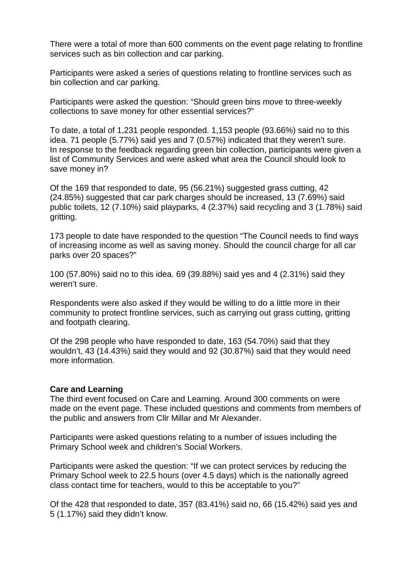There were a total of more than 600 comments on the event page relating to frontline services such as bin collection and car parking.

Participants were asked a series of questions relating to frontline services such as bin collection and car parking.

Participants were asked the question: "Should green bins move to three-weekly collections to save money for other essential services?"

To date, a total of 1,231 people responded. 1,153 people (93.66%) said no to this idea. 71 people (5.77%) said yes and 7 (0.57%) indicated that they weren't sure. In response to the feedback regarding green bin collection, participants were given a list of Community Services and were asked what area the Council should look to save money in?

Of the 169 that responded to date, 95 (56.21%) suggested grass cutting, 42 (24.85%) suggested that car park charges should be increased, 13 (7.69%) said public toilets, 12 (7.10%) said playparks, 4 (2.37%) said recycling and 3 (1.78%) said gritting.

173 people to date have responded to the question "The Council needs to find ways of increasing income as well as saving money. Should the council charge for all car parks over 20 spaces?"

100 (57.80%) said no to this idea. 69 (39.88%) said yes and 4 (2.31%) said they weren't sure.

Respondents were also asked if they would be willing to do a little more in their community to protect frontline services, such as carrying out grass cutting, gritting and footpath clearing.

Of the 298 people who have responded to date, 163 (54.70%) said that they wouldn't, 43 (14.43%) said they would and 92 (30.87%) said that they would need more information.

#### **Care and Learning**

The third event focused on Care and Learning. Around 300 comments on were made on the event page. These included questions and comments from members of the public and answers from Cllr Millar and Mr Alexander.

Participants were asked questions relating to a number of issues including the Primary School week and children's Social Workers.

Participants were asked the question: "If we can protect services by reducing the Primary School week to 22.5 hours (over 4.5 days) which is the nationally agreed class contact time for teachers, would to this be acceptable to you?"

Of the 428 that responded to date, 357 (83.41%) said no, 66 (15.42%) said yes and 5 (1.17%) said they didn't know.